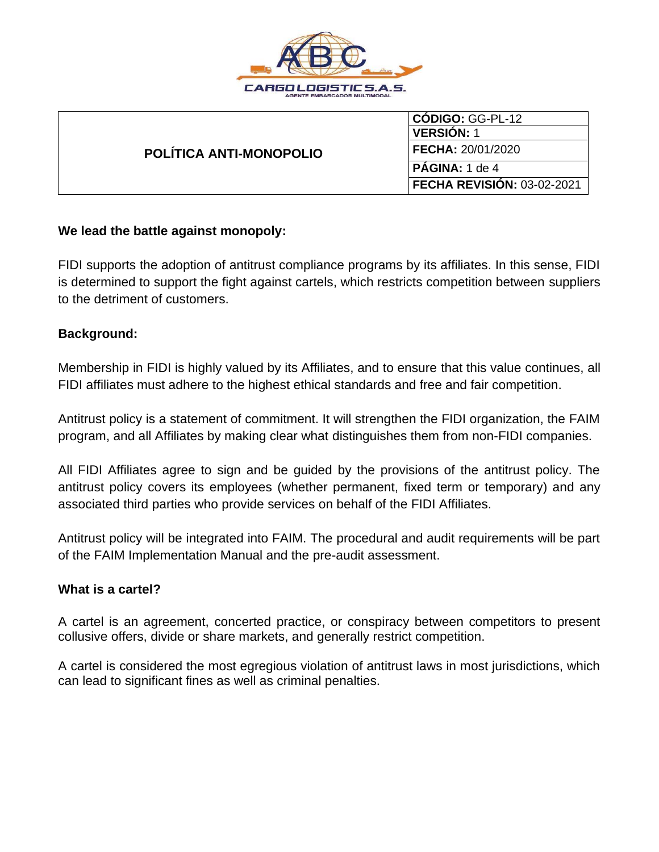

| POLÍTICA ANTI-MONOPOLIO | $ CODIGO: GG-PL-12$               |
|-------------------------|-----------------------------------|
|                         | <b>VERSIÓN: 1</b>                 |
|                         | <b>FECHA: 20/01/2020</b>          |
|                         | PAGINA: 1 de 4                    |
|                         | <b>FECHA REVISION: 03-02-2021</b> |

### **We lead the battle against monopoly:**

FIDI supports the adoption of antitrust compliance programs by its affiliates. In this sense, FIDI is determined to support the fight against cartels, which restricts competition between suppliers to the detriment of customers.

#### **Background:**

Membership in FIDI is highly valued by its Affiliates, and to ensure that this value continues, all FIDI affiliates must adhere to the highest ethical standards and free and fair competition.

Antitrust policy is a statement of commitment. It will strengthen the FIDI organization, the FAIM program, and all Affiliates by making clear what distinguishes them from non-FIDI companies.

All FIDI Affiliates agree to sign and be guided by the provisions of the antitrust policy. The antitrust policy covers its employees (whether permanent, fixed term or temporary) and any associated third parties who provide services on behalf of the FIDI Affiliates.

Antitrust policy will be integrated into FAIM. The procedural and audit requirements will be part of the FAIM Implementation Manual and the pre-audit assessment.

#### **What is a cartel?**

A cartel is an agreement, concerted practice, or conspiracy between competitors to present collusive offers, divide or share markets, and generally restrict competition.

A cartel is considered the most egregious violation of antitrust laws in most jurisdictions, which can lead to significant fines as well as criminal penalties.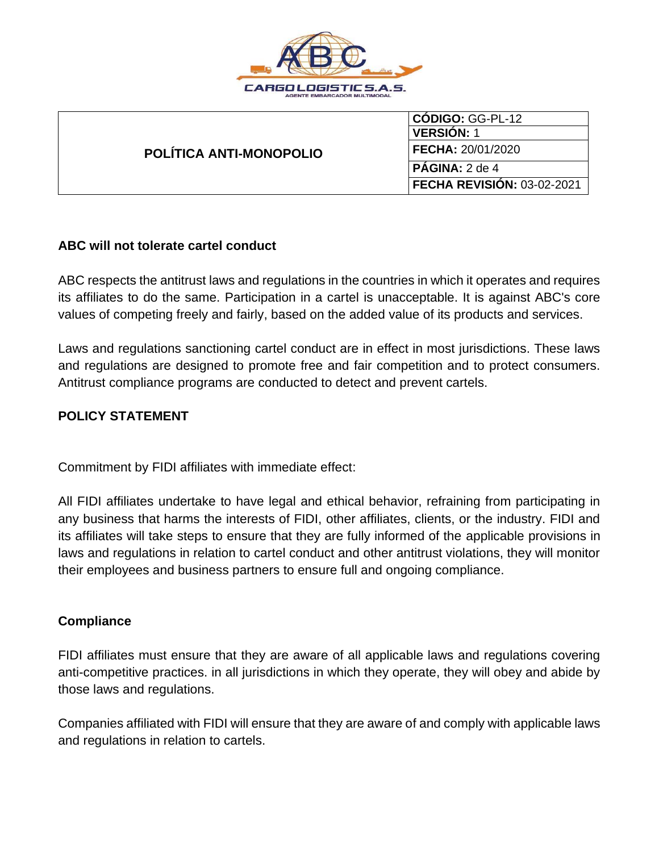

| POLÍTICA ANTI-MONOPOLIO | CODIGO: GG-PL-12           |
|-------------------------|----------------------------|
|                         | <b>VERSION: 1</b>          |
|                         | <b>FECHA: 20/01/2020</b>   |
|                         | $I$ <b>PÁGINA:</b> 2 de 4  |
|                         | FECHA REVISIÓN: 03-02-2021 |

### **ABC will not tolerate cartel conduct**

ABC respects the antitrust laws and regulations in the countries in which it operates and requires its affiliates to do the same. Participation in a cartel is unacceptable. It is against ABC's core values of competing freely and fairly, based on the added value of its products and services.

Laws and regulations sanctioning cartel conduct are in effect in most jurisdictions. These laws and regulations are designed to promote free and fair competition and to protect consumers. Antitrust compliance programs are conducted to detect and prevent cartels.

## **POLICY STATEMENT**

Commitment by FIDI affiliates with immediate effect:

All FIDI affiliates undertake to have legal and ethical behavior, refraining from participating in any business that harms the interests of FIDI, other affiliates, clients, or the industry. FIDI and its affiliates will take steps to ensure that they are fully informed of the applicable provisions in laws and regulations in relation to cartel conduct and other antitrust violations, they will monitor their employees and business partners to ensure full and ongoing compliance.

## **Compliance**

FIDI affiliates must ensure that they are aware of all applicable laws and regulations covering anti-competitive practices. in all jurisdictions in which they operate, they will obey and abide by those laws and regulations.

Companies affiliated with FIDI will ensure that they are aware of and comply with applicable laws and regulations in relation to cartels.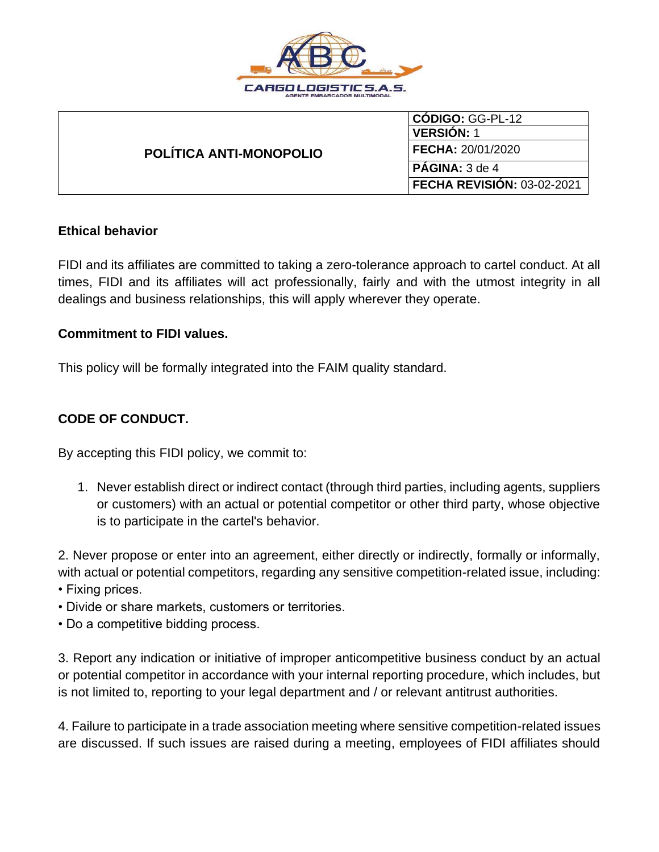

| POLÍTICA ANTI-MONOPOLIO | <b>CODIGO: GG-PL-12</b>           |
|-------------------------|-----------------------------------|
|                         | <b>VERSION: 1</b>                 |
|                         | <b>FECHA: 20/01/2020</b>          |
|                         | <b>PÁGINA:</b> 3 de 4             |
|                         | <b>FECHA REVISION: 03-02-2021</b> |

## **Ethical behavior**

FIDI and its affiliates are committed to taking a zero-tolerance approach to cartel conduct. At all times, FIDI and its affiliates will act professionally, fairly and with the utmost integrity in all dealings and business relationships, this will apply wherever they operate.

#### **Commitment to FIDI values.**

This policy will be formally integrated into the FAIM quality standard.

# **CODE OF CONDUCT.**

By accepting this FIDI policy, we commit to:

1. Never establish direct or indirect contact (through third parties, including agents, suppliers or customers) with an actual or potential competitor or other third party, whose objective is to participate in the cartel's behavior.

2. Never propose or enter into an agreement, either directly or indirectly, formally or informally, with actual or potential competitors, regarding any sensitive competition-related issue, including:

- Fixing prices.
- Divide or share markets, customers or territories.
- Do a competitive bidding process.

3. Report any indication or initiative of improper anticompetitive business conduct by an actual or potential competitor in accordance with your internal reporting procedure, which includes, but is not limited to, reporting to your legal department and / or relevant antitrust authorities.

4. Failure to participate in a trade association meeting where sensitive competition-related issues are discussed. If such issues are raised during a meeting, employees of FIDI affiliates should